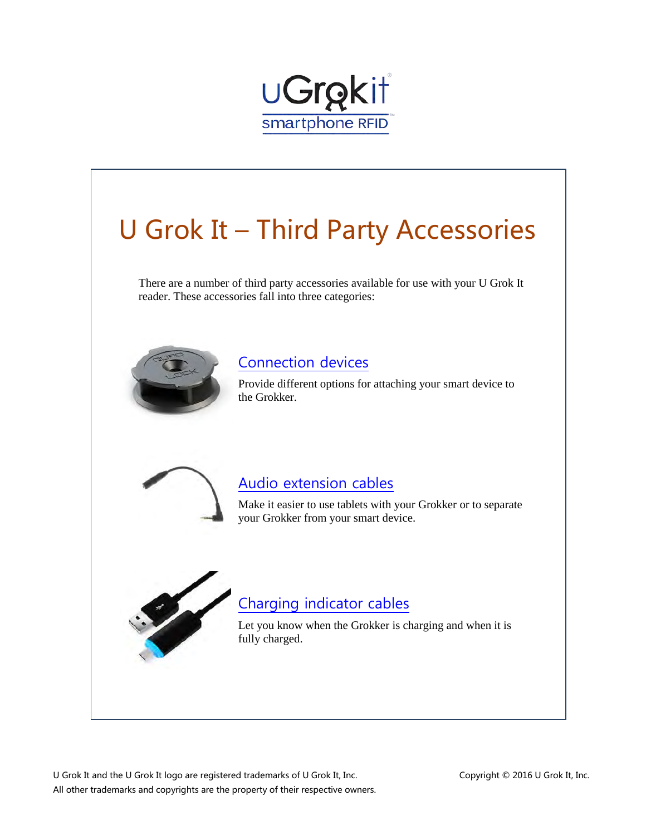

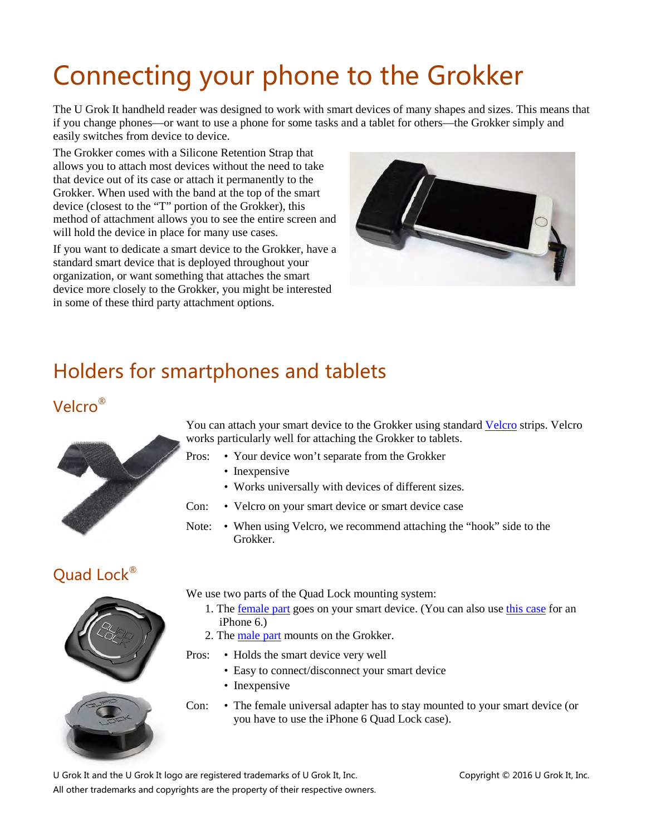# <span id="page-1-0"></span>Connecting your phone to the Grokker

The U Grok It handheld reader was designed to work with smart devices of many shapes and sizes. This means that if you change phones—or want to use a phone for some tasks and a tablet for others—the Grokker simply and easily switches from device to device.

The Grokker comes with a Silicone Retention Strap that allows you to attach most devices without the need to take that device out of its case or attach it permanently to the Grokker. When used with the band at the top of the smart device (closest to the "T" portion of the Grokker), this method of attachment allows you to see the entire screen and will hold the device in place for many use cases.

If you want to dedicate a smart device to the Grokker, have a standard smart device that is deployed throughout your organization, or want something that attaches the smart device more closely to the Grokker, you might be interested in some of these third party attachment options.



### Holders for smartphones and tablets

#### Velcro®



You can attach your smart device to the Grokker using standard [Velcro](http://www.uline.com/Product/Detail/S-17030/Velcro-Hook-and-Loop-Tape/1-x-3-Black-Uline-Hook-and-Loop-Precut-Strips) strips. Velcro works particularly well for attaching the Grokker to tablets.

- Pros: Your device won't separate from the Grokker
	- Inexpensive
	- Works universally with devices of different sizes.
- Con: Velcro on your smart device or smart device case
- Note: When using Velcro, we recommend attaching the "hook" side to the Grokker.

#### Quad Lock®



We use two parts of the Quad Lock mounting system:

- 1. The [female part](http://www.quadlockcase.com/products/universal-adapter) goes on your smart device. (You can also use [this case](http://www.quadlockcase.com/products/iphone-6-case-composite-protection) for an iPhone 6.)
- 2. The [male part](http://www.quadlockcase.com/products/quad-lock-st-adhesive-mount-twin-pack) mounts on the Grokker.
- Pros: Holds the smart device very well
	- Easy to connect/disconnect your smart device
	- Inexpensive
- Con: The female universal adapter has to stay mounted to your smart device (or you have to use the iPhone 6 Quad Lock case).

U Grok It and the U Grok It logo are registered trademarks of U Grok It, Inc. Copyright © 2016 U Grok It, Inc.

All other trademarks and copyrights are the property of their respective owners.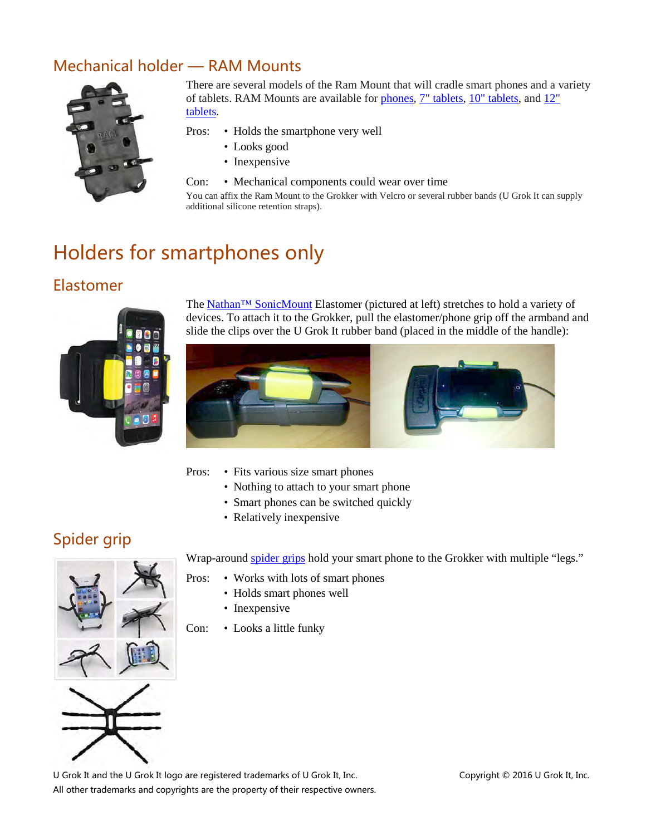#### Mechanical holder — RAM Mounts



There are several models of the Ram Mount that will cradle smart phones and a variety of tablets. RAM Mounts are available for [phones,](http://www.rammount.com/part/RAM-HOL-PD3U) [7" tablets,](http://www.rammount.com/part/RAM-HOL-TAB-SMU) [10" tablets,](http://www.rammount.com/part/RAM-HOL-UN9U) an[d 12"](http://www.rammount.com/part/RAM-HOL-UN11U)  [tablets.](http://www.rammount.com/part/RAM-HOL-UN11U)

- Pros: Holds the smartphone very well
	- Looks good
	- Inexpensive
- Con: Mechanical components could wear over time

You can affix the Ram Mount to the Grokker with Velcro or several rubber bands (U Grok It can supply additional silicone retention straps).

### Holders for smartphones only

#### Elastomer



The [Nathan™ SonicMount](http://www.nathansports.com/gear/music-carriers/sonicmount-0) Elastomer (pictured at left) stretches to hold a variety of devices. To attach it to the Grokker, pull the elastomer/phone grip off the armband and slide the clips over the U Grok It rubber band (placed in the middle of the handle):



- 
- Pros: Fits various size smart phones
	- Nothing to attach to your smart phone
	- Smart phones can be switched quickly
	- Relatively inexpensive

#### Spider grip



Wrap-around [spider grips](http://www.amazon.com/Flexible-Portable-Universal-Samsung-Andriod/dp/B00N2WQWJQ/ref=sr_1_4?ie=UTF8&qid=1435552754&sr=8-4&keywords=phone+holder+spider&pebp=1435552851315&perid=1WR1G592Q2CYSYPX5B26) hold your smart phone to the Grokker with multiple "legs."

- Pros: Works with lots of smart phones
	- Holds smart phones well
	- Inexpensive
- Con: Looks a little funky

U Grok It and the U Grok It logo are registered trademarks of U Grok It, Inc. Copyright © 2016 U Grok It, Inc. All other trademarks and copyrights are the property of their respective owners.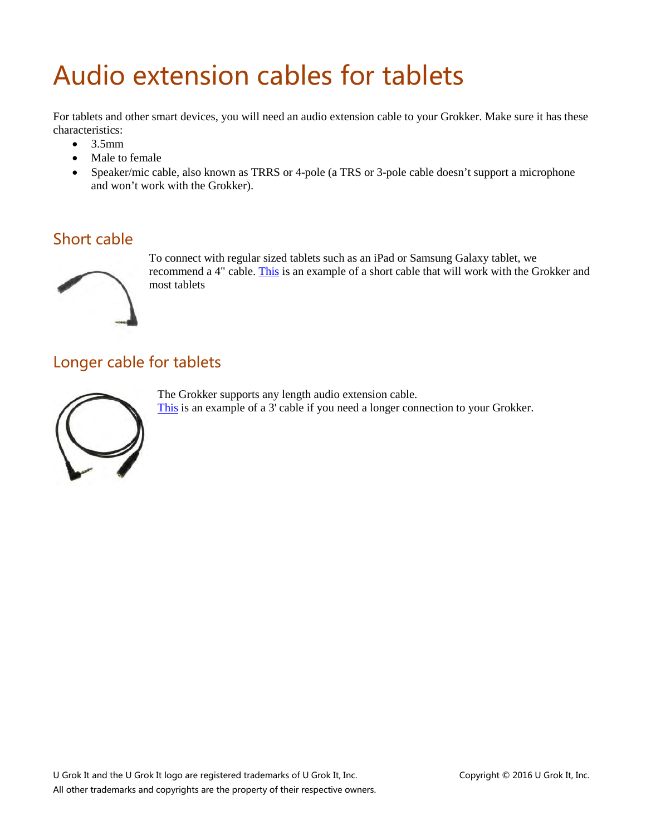## <span id="page-3-0"></span>Audio extension cables for tablets

For tablets and other smart devices, you will need an audio extension cable to your Grokker. Make sure it has these characteristics:

- $\bullet$  3.5mm
- Male to female
- Speaker/mic cable, also known as TRRS or 4-pole (a TRS or 3-pole cable doesn't support a microphone and won't work with the Grokker).

#### Short cable



To connect with regular sized tablets such as an iPad or Samsung Galaxy tablet, we recommend a 4" cable. [This](http://www.amazon.com/gp/product/B00C4FU52C?psc=1&redirect=true&ref_=oh_aui_search_detailpage) is an example of a short cable that will work with the Grokker and most tablets

#### Longer cable for tablets



The Grokker supports any length audio extension cable. [This](http://www.amazon.com/Valley-4-Pole-3-5mm-Female-Stereo/dp/B00DX6V9JO/ref=pd_sim_23_3?ie=UTF8&refRID=065D7RT8NP7MCSWQGGHD&dpID=41G181tjtIL&dpSrc=sims&preST=_AC_UL160_SR160%2C160_) is an example of a 3' cable if you need a longer connection to your Grokker.